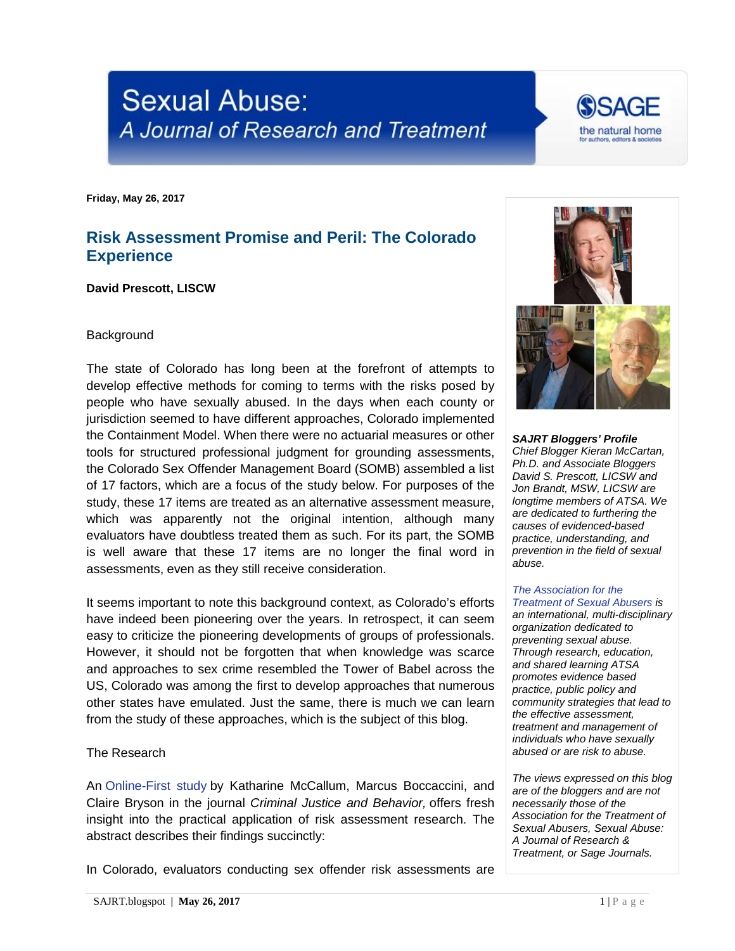# **Sexual Abuse:** A Journal of Research and Treatment

**Friday, May 26, 2017**

## **Risk Assessment Promise and Peril: The Colorado Experience**

**David Prescott, LISCW**

#### **Background**

The state of Colorado has long been at the forefront of attempts to develop effective methods for coming to terms with the risks posed by people who have sexually abused. In the days when each county or jurisdiction seemed to have different approaches, Colorado implemented the Containment Model. When there were no actuarial measures or other tools for structured professional judgment for grounding assessments, the Colorado Sex Offender Management Board (SOMB) assembled a list of 17 factors, which are a focus of the study below. For purposes of the study, these 17 items are treated as an alternative assessment measure, which was apparently not the original intention, although many evaluators have doubtless treated them as such. For its part, the SOMB is well aware that these 17 items are no longer the final word in assessments, even as they still receive consideration.

It seems important to note this background context, as Colorado's efforts have indeed been pioneering over the years. In retrospect, it can seem easy to criticize the pioneering developments of groups of professionals. However, it should not be forgotten that when knowledge was scarce and approaches to sex crime resembled the Tower of Babel across the US, Colorado was among the first to develop approaches that numerous other states have emulated. Just the same, there is much we can learn from the study of these approaches, which is the subject of this blog.

#### The Research

An [Online-First study](http://journals.sagepub.com/doi/abs/10.1177/0093854817707232?journalCode=cjbb) by Katharine McCallum, Marcus Boccaccini, and Claire Bryson in the journal *Criminal Justice and Behavior,* offers fresh insight into the practical application of risk assessment research. The abstract describes their findings succinctly:

In Colorado, evaluators conducting sex offender risk assessments are



the natural home

*SAJRT Bloggers' Profile Chief Blogger Kieran McCartan, Ph.D. and Associate Bloggers David S. Prescott, LICSW and Jon Brandt, MSW, LICSW are longtime members of ATSA. We are dedicated to furthering the causes of evidenced-based practice, understanding, and prevention in the field of sexual abuse.*

#### *[The Association for the](http://atsa.com/)  [Treatment of Sexual Abusers](http://atsa.com/) is*

*an international, multi-disciplinary organization dedicated to preventing sexual abuse. Through research, education, and shared learning ATSA promotes evidence based practice, public policy and community strategies that lead to the effective assessment, treatment and management of individuals who have sexually abused or are risk to abuse.* 

*The views expressed on this blog are of the bloggers and are not necessarily those of the Association for the Treatment of Sexual Abusers, Sexual Abuse: A Journal of Research & Treatment, or Sage Journals.*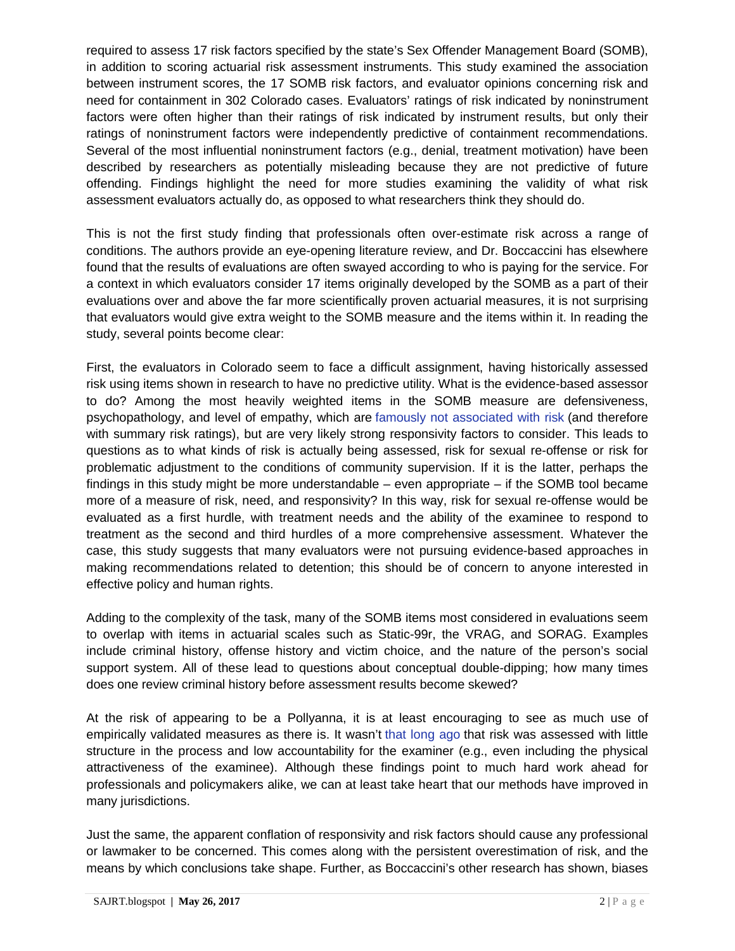required to assess 17 risk factors specified by the state's Sex Offender Management Board (SOMB), in addition to scoring actuarial risk assessment instruments. This study examined the association between instrument scores, the 17 SOMB risk factors, and evaluator opinions concerning risk and need for containment in 302 Colorado cases. Evaluators' ratings of risk indicated by noninstrument factors were often higher than their ratings of risk indicated by instrument results, but only their ratings of noninstrument factors were independently predictive of containment recommendations. Several of the most influential noninstrument factors (e.g., denial, treatment motivation) have been described by researchers as potentially misleading because they are not predictive of future offending. Findings highlight the need for more studies examining the validity of what risk assessment evaluators actually do, as opposed to what researchers think they should do.

This is not the first study finding that professionals often over-estimate risk across a range of conditions. The authors provide an eye-opening literature review, and Dr. Boccaccini has elsewhere found that the results of evaluations are often swayed according to who is paying for the service. For a context in which evaluators consider 17 items originally developed by the SOMB as a part of their evaluations over and above the far more scientifically proven actuarial measures, it is not surprising that evaluators would give extra weight to the SOMB measure and the items within it. In reading the study, several points become clear:

First, the evaluators in Colorado seem to face a difficult assignment, having historically assessed risk using items shown in research to have no predictive utility. What is the evidence-based assessor to do? Among the most heavily weighted items in the SOMB measure are defensiveness, psychopathology, and level of empathy, which are [famously not associated with risk](https://www.researchgate.net/publication/13701423_Predicting_relapse_A_meta-analysis_of_sexual_offender_recidivism_studies_Journal_of_Consulting_and_Clinical_Psychology_66_348-362) (and therefore with summary risk ratings), but are very likely strong responsivity factors to consider. This leads to questions as to what kinds of risk is actually being assessed, risk for sexual re-offense or risk for problematic adjustment to the conditions of community supervision. If it is the latter, perhaps the findings in this study might be more understandable – even appropriate – if the SOMB tool became more of a measure of risk, need, and responsivity? In this way, risk for sexual re-offense would be evaluated as a first hurdle, with treatment needs and the ability of the examinee to respond to treatment as the second and third hurdles of a more comprehensive assessment. Whatever the case, this study suggests that many evaluators were not pursuing evidence-based approaches in making recommendations related to detention; this should be of concern to anyone interested in effective policy and human rights.

Adding to the complexity of the task, many of the SOMB items most considered in evaluations seem to overlap with items in actuarial scales such as Static-99r, the VRAG, and SORAG. Examples include criminal history, offense history and victim choice, and the nature of the person's social support system. All of these lead to questions about conceptual double-dipping; how many times does one review criminal history before assessment results become skewed?

At the risk of appearing to be a Pollyanna, it is at least encouraging to see as much use of empirically validated measures as there is. It wasn't [that long ago](https://www.ncbi.nlm.nih.gov/pubmed/11501440) that risk was assessed with little structure in the process and low accountability for the examiner (e.g., even including the physical attractiveness of the examinee). Although these findings point to much hard work ahead for professionals and policymakers alike, we can at least take heart that our methods have improved in many jurisdictions.

Just the same, the apparent conflation of responsivity and risk factors should cause any professional or lawmaker to be concerned. This comes along with the persistent overestimation of risk, and the means by which conclusions take shape. Further, as Boccaccini's other research has shown, biases